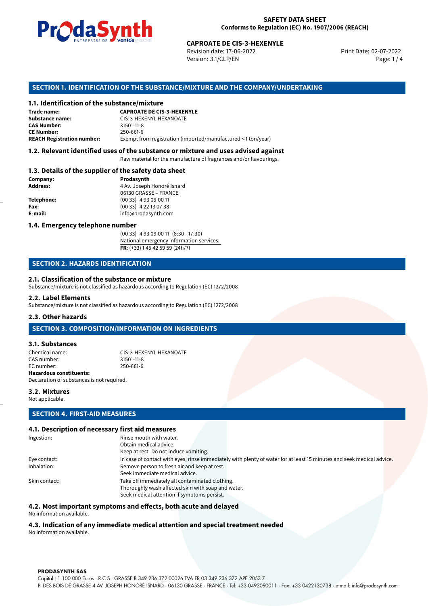

Revision date: 17-06-2022 Version: 3.1/CLP/EN Page: 1 / 4

Print Date: 02-07-2022

# **SECTION 1. IDENTIFICATION OF THE SUBSTANCE/MIXTURE AND THE COMPANY/UNDERTAKING**

### **1.1. Identification of the substance/mixture**

|                                              | LIVING THE DE <b>DE VOINUS</b> SUSSESSI<br><b>CAPROATE DE CIS-3-HEXENYLE</b><br>Revision date: 17-06-2022<br>Version: 3.1/CLP/EN |  |  |
|----------------------------------------------|----------------------------------------------------------------------------------------------------------------------------------|--|--|
|                                              | SECTION 1. IDENTIFICATION OF THE SUBSTANCE/MIXTURE AND THE COMPANY/UI                                                            |  |  |
| 1.1. Identification of the substance/mixture |                                                                                                                                  |  |  |
| Trade name:                                  | <b>CAPROATE DE CIS-3-HEXENYLE</b>                                                                                                |  |  |
| Substance name:                              | CIS-3-HEXENYL HEXANOATE                                                                                                          |  |  |
| <b>CAS Number:</b>                           | 31501-11-8                                                                                                                       |  |  |
| <b>CE Number:</b>                            | 250-661-6                                                                                                                        |  |  |
| <b>REACH Registration number:</b>            | Exempt from registration (imported/manufactured < 1 ton/year)                                                                    |  |  |
|                                              |                                                                                                                                  |  |  |

# **1.2. Relevant identified uses of the substance or mixture and uses advised against**

Raw material for the manufacture of fragrances and/or flavourings.

### **1.3. Details of the supplier of the safety data sheet**

| Company:          | Prodasynth                 |  |
|-------------------|----------------------------|--|
| <b>Address:</b>   | 4 Av. Joseph Honoré Isnard |  |
|                   | 06130 GRASSE - FRANCE      |  |
| <b>Telephone:</b> | $(0033)$ 4 93 09 00 11     |  |
| Fax:              | $(0033)$ 4 22 13 07 38     |  |
| E-mail:           | info@prodasynth.com        |  |
|                   |                            |  |

### **1.4. Emergency telephone number**

(00 33) 4 93 09 00 11 (8:30 - 17:30) National emergency information services: **FR**: (+33) 1 45 42 59 59 (24h/7)

# **SECTION 2. HAZARDS IDENTIFICATION**

### **2.1. Classification of the substance or mixture**

Substance/mixture is not classified as hazardous according to Regulation (EC) 1272/2008

### **2.2. Label Elements**

Substance/mixture is not classified as hazardous according to Regulation (EC) 1272/2008

### **2.3. Other hazards**

# **SECTION 3. COMPOSITION/INFORMATION ON INGREDIENTS**

### **3.1. Substances**

Chemical name: CIS-3-HEXENYL HEXANOATE<br>
CAS number: 31501-11-8 CAS number: EC number: 250-661-6 **Hazardous constituents:** Declaration of substances is not required.

### **3.2. Mixtures** Not applicable.

# **SECTION 4. FIRST-AID MEASURES**

### **4.1. Description of necessary first aid measures**

| Ingestion:    | Rinse mouth with water.                                                                                               |
|---------------|-----------------------------------------------------------------------------------------------------------------------|
|               | Obtain medical advice.                                                                                                |
|               | Keep at rest. Do not induce vomiting.                                                                                 |
| Eye contact:  | In case of contact with eyes, rinse immediately with plenty of water for at least 15 minutes and seek medical advice. |
| Inhalation:   | Remove person to fresh air and keep at rest.                                                                          |
|               | Seek immediate medical advice.                                                                                        |
| Skin contact: | Take off immediately all contaminated clothing.                                                                       |
|               | Thoroughly wash affected skin with soap and water.                                                                    |
|               | Seek medical attention if symptoms persist.                                                                           |

### **4.2. Most important symptoms and effects, both acute and delayed**

No information available.

# **4.3. Indication of any immediate medical attention and special treatment needed**

No information available.

### **PRODASYNTH SAS**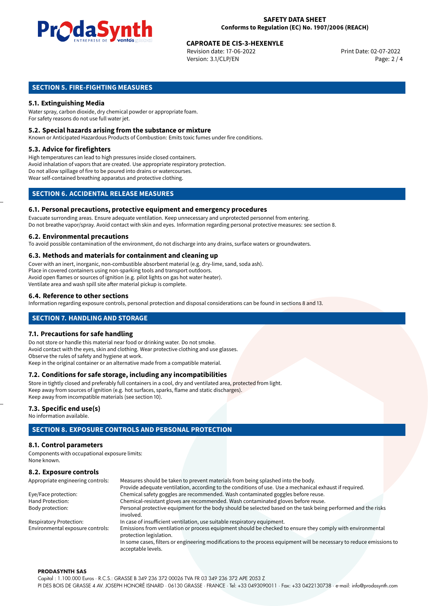

# **CAPROATE DE CIS-3-HEXENYLE**<br>
Revision date: 17-06-2022<br>
Print Date: 02-07-2022

Revision date: 17-06-2022 Version: 3.1/CLP/EN Page: 2 / 4

# **SECTION 5. FIRE-FIGHTING MEASURES**

# **5.1. Extinguishing Media**

Water spray, carbon dioxide, dry chemical powder or appropriate foam. For safety reasons do not use full water jet.

### **5.2. Special hazards arising from the substance or mixture**

Known or Anticipated Hazardous Products of Combustion: Emits toxic fumes under fire conditions.

### **5.3. Advice for firefighters**

High temperatures can lead to high pressures inside closed containers. Avoid inhalation of vapors that are created. Use appropriate respiratory protection. Do not allow spillage of fire to be poured into drains or watercourses. Wear self-contained breathing apparatus and protective clothing.

# **SECTION 6. ACCIDENTAL RELEASE MEASURES**

### **6.1. Personal precautions, protective equipment and emergency procedures**

Evacuate surronding areas. Ensure adequate ventilation. Keep unnecessary and unprotected personnel from entering. Do not breathe vapor/spray. Avoid contact with skin and eyes. Information regarding personal protective measures: see section 8.

### **6.2. Environmental precautions**

To avoid possible contamination of the environment, do not discharge into any drains, surface waters or groundwaters.

### **6.3. Methods and materials for containment and cleaning up**

Cover with an inert, inorganic, non-combustible absorbent material (e.g. dry-lime, sand, soda ash). Place in covered containers using non-sparking tools and transport outdoors. Avoid open flames or sources of ignition (e.g. pilot lights on gas hot water heater). Ventilate area and wash spill site after material pickup is complete.

### **6.4. Reference to other sections**

Information regarding exposure controls, personal protection and disposal considerations can be found in sections 8 and 13.

# **SECTION 7. HANDLING AND STORAGE**

### **7.1. Precautions for safe handling**

Do not store or handle this material near food or drinking water. Do not smoke. Avoid contact with the eyes, skin and clothing. Wear protective clothing and use glasses. Observe the rules of safety and hygiene at work. Keep in the original container or an alternative made from a compatible material.

# **7.2. Conditions for safe storage, including any incompatibilities**

Store in tightly closed and preferably full containers in a cool, dry and ventilated area, protected from light. Keep away from sources of ignition (e.g. hot surfaces, sparks, flame and static discharges). Keep away from incompatible materials (see section 10).

### **7.3. Specific end use(s)**

No information available.

# **SECTION 8. EXPOSURE CONTROLS AND PERSONAL PROTECTION**

# **8.1. Control parameters**

Components with occupational exposure limits: None known.

# **8.2. Exposure controls**

| Appropriate engineering controls: | Measures should be taken to prevent materials from being splashed into the body.                                                            |  |  |
|-----------------------------------|---------------------------------------------------------------------------------------------------------------------------------------------|--|--|
|                                   | Provide adequate ventilation, according to the conditions of use. Use a mechanical exhaust if required.                                     |  |  |
| Eye/Face protection:              | Chemical safety goggles are recommended. Wash contaminated goggles before reuse.                                                            |  |  |
| Hand Protection:                  | Chemical-resistant gloves are recommended. Wash contaminated gloves before reuse.                                                           |  |  |
| Body protection:                  | Personal protective equipment for the body should be selected based on the task being performed and the risks                               |  |  |
|                                   | involved.                                                                                                                                   |  |  |
| <b>Respiratory Protection:</b>    | In case of insufficient ventilation, use suitable respiratory equipment.                                                                    |  |  |
| Environmental exposure controls:  | Emissions from ventilation or process equipment should be checked to ensure they comply with environmental<br>protection legislation.       |  |  |
|                                   | In some cases, filters or engineering modifications to the process equipment will be necessary to reduce emissions to<br>acceptable levels. |  |  |

### **PRODASYNTH SAS**

Capital : 1.100.000 Euros · R.C.S.: GRASSE B 349 236 372 00026 TVA FR 03 349 236 372 APE 2053 Z PI DES BOIS DE GRASSE 4 AV. JOSEPH HONORÉ ISNARD · 06130 GRASSE · FRANCE · Tel: +33 0493090011 · Fax: +33 0422130738 · e-mail: info@prodasynth.com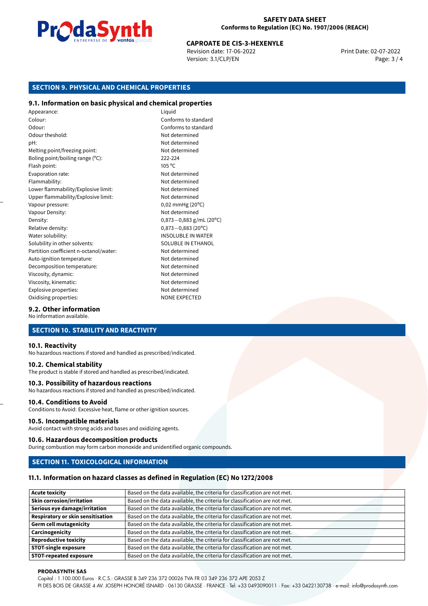

# **CAPROATE DE CIS-3-HEXENYLE**<br>
Revision date: 17-06-2022<br>
Print Date: 02-07-2022

Revision date: 17-06-2022 Version: 3.1/CLP/EN Page: 3 / 4

# **SECTION 9. PHYSICAL AND CHEMICAL PROPERTIES**

# **9.1. Information on basic physical and chemical properties**

Appearance: Liquid Colour: Conforms to standard Odour: Conforms to standard Odour theshold: Not determined pH: Not determined Melting point/freezing point: Not determined Boling point/boiling range (ºC): 222-224 Flash point: 105 °C Evaporation rate: Not determined Flammability: Not determined Lower flammability/Explosive limit: Not determined Upper flammability/Explosive limit: Not determined Vapour pressure: 0,02 mmHg (20°C) Vapour Density: Not determined Density: 0,873−0,883 g/mL (20°C)<br>Relative density: 0,873−0,883 (20°C) Relative density: 0,873*−*0,883 (20ºC) Solubility in other solvents: SOLUBLE IN ETHANOL Partition coefficient n-octanol/water: Not determined Auto-ignition temperature: Not determined Decomposition temperature: Not determined Viscosity, dynamic:  $\blacksquare$ Viscosity, kinematic: Not determined Explosive properties: Not determined Oxidising properties: NONE EXPECTED

**INSOLUBLE IN WATER** 

# **9.2. Other information**

No information available.

# **SECTION 10. STABILITY AND REACTIVITY**

### **10.1. Reactivity**

No hazardous reactions if stored and handled as prescribed/indicated.

### **10.2. Chemical stability**

The product is stable if stored and handled as prescribed/indicated.

### **10.3. Possibility of hazardous reactions**

No hazardous reactions if stored and handled as prescribed/indicated.

# **10.4. Conditions to Avoid**

Conditions to Avoid: Excessive heat, flame or other ignition sources.

### **10.5. Incompatible materials**

Avoid contact with strong acids and bases and oxidizing agents.

### **10.6. Hazardous decomposition products**

During combustion may form carbon monoxide and unidentified organic compounds.

### **SECTION 11. TOXICOLOGICAL INFORMATION**

### **11.1. Information on hazard classes as defined in Regulation (EC) No 1272/2008**

| <b>Acute toxicity</b>             | Based on the data available, the criteria for classification are not met. |
|-----------------------------------|---------------------------------------------------------------------------|
| <b>Skin corrosion/irritation</b>  | Based on the data available, the criteria for classification are not met. |
| Serious eye damage/irritation     | Based on the data available, the criteria for classification are not met. |
| Respiratory or skin sensitisation | Based on the data available, the criteria for classification are not met. |
| Germ cell mutagenicity            | Based on the data available, the criteria for classification are not met. |
| <b>Carcinogenicity</b>            | Based on the data available, the criteria for classification are not met. |
| Reproductive toxicity             | Based on the data available, the criteria for classification are not met. |
| <b>STOT-single exposure</b>       | Based on the data available, the criteria for classification are not met. |
| <b>STOT-repeated exposure</b>     | Based on the data available, the criteria for classification are not met. |

### **PRODASYNTH SAS**

Capital : 1.100.000 Euros · R.C.S.: GRASSE B 349 236 372 00026 TVA FR 03 349 236 372 APE 2053 Z

PI DES BOIS DE GRASSE 4 AV. JOSEPH HONORÉ ISNARD · 06130 GRASSE · FRANCE · Tel: +33 0493090011 · Fax: +33 0422130738 · e-mail: info@prodasynth.com